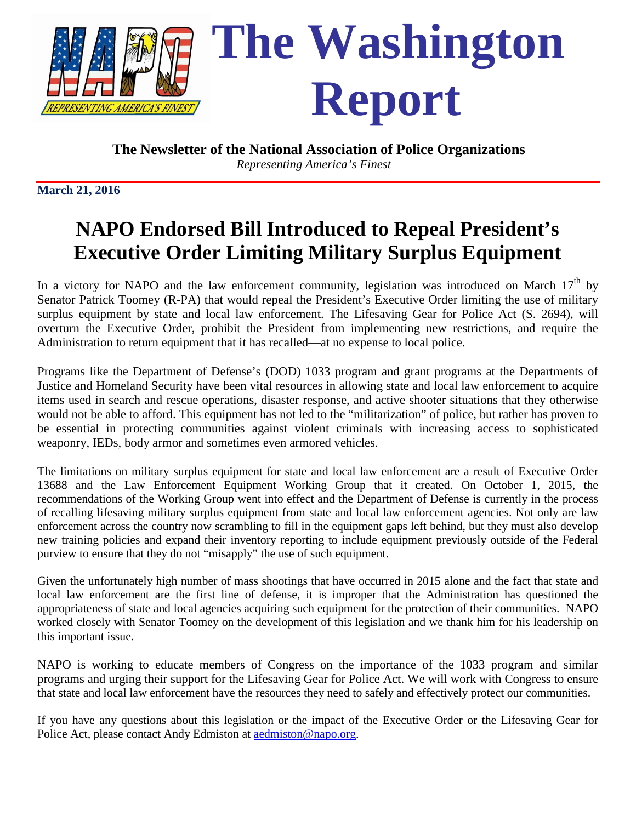

*Representing America's Finest*

**March 21, 2016**

# **NAPO Endorsed Bill Introduced to Repeal President's Executive Order Limiting Military Surplus Equipment**

In a victory for NAPO and the law enforcement community, legislation was introduced on March  $17<sup>th</sup>$  by Senator Patrick Toomey (R-PA) that would repeal the President's Executive Order limiting the use of military surplus equipment by state and local law enforcement. The Lifesaving Gear for Police Act (S. 2694), will overturn the Executive Order, prohibit the President from implementing new restrictions, and require the Administration to return equipment that it has recalled—at no expense to local police.

Programs like the Department of Defense's (DOD) 1033 program and grant programs at the Departments of Justice and Homeland Security have been vital resources in allowing state and local law enforcement to acquire items used in search and rescue operations, disaster response, and active shooter situations that they otherwise would not be able to afford. This equipment has not led to the "militarization" of police, but rather has proven to be essential in protecting communities against violent criminals with increasing access to sophisticated weaponry, IEDs, body armor and sometimes even armored vehicles.

The limitations on military surplus equipment for state and local law enforcement are a result of Executive Order 13688 and the Law Enforcement Equipment Working Group that it created. On October 1, 2015, the recommendations of the Working Group went into effect and the Department of Defense is currently in the process of recalling lifesaving military surplus equipment from state and local law enforcement agencies. Not only are law enforcement across the country now scrambling to fill in the equipment gaps left behind, but they must also develop new training policies and expand their inventory reporting to include equipment previously outside of the Federal purview to ensure that they do not "misapply" the use of such equipment.

Given the unfortunately high number of mass shootings that have occurred in 2015 alone and the fact that state and local law enforcement are the first line of defense, it is improper that the Administration has questioned the appropriateness of state and local agencies acquiring such equipment for the protection of their communities. NAPO worked closely with Senator Toomey on the development of this legislation and we thank him for his leadership on this important issue.

NAPO is working to educate members of Congress on the importance of the 1033 program and similar programs and urging their support for the Lifesaving Gear for Police Act. We will work with Congress to ensure that state and local law enforcement have the resources they need to safely and effectively protect our communities.

If you have any questions about this legislation or the impact of the Executive Order or the Lifesaving Gear for Police Act, please contact Andy Edmiston at [aedmiston@napo.org.](mailto:aedmiston@napo.org)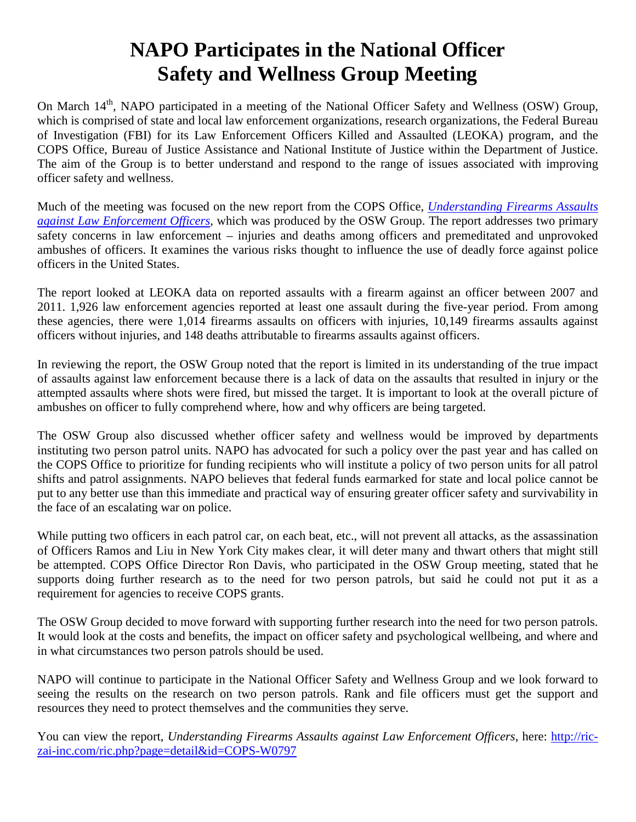### **NAPO Participates in the National Officer Safety and Wellness Group Meeting**

On March 14<sup>th</sup>, NAPO participated in a meeting of the National Officer Safety and Wellness (OSW) Group, which is comprised of state and local law enforcement organizations, research organizations, the Federal Bureau of Investigation (FBI) for its Law Enforcement Officers Killed and Assaulted (LEOKA) program, and the COPS Office, Bureau of Justice Assistance and National Institute of Justice within the Department of Justice. The aim of the Group is to better understand and respond to the range of issues associated with improving officer safety and wellness.

Much of the meeting was focused on the new report from the COPS Office, *Understanding Firearms Assaults against Law Enforcement Officers*, which was produced by the OSW Group. The report addresses two primary safety concerns in law enforcement – injuries and deaths among officers and premeditated and unprovoked ambushes of officers. It examines the various risks thought to influence the use of deadly force against police officers in the United States.

The report looked at LEOKA data on reported assaults with a firearm against an officer between 2007 and 2011. 1,926 law enforcement agencies reported at least one assault during the five-year period. From among these agencies, there were 1,014 firearms assaults on officers with injuries, 10,149 firearms assaults against officers without injuries, and 148 deaths attributable to firearms assaults against officers.

In reviewing the report, the OSW Group noted that the report is limited in its understanding of the true impact of assaults against law enforcement because there is a lack of data on the assaults that resulted in injury or the attempted assaults where shots were fired, but missed the target. It is important to look at the overall picture of ambushes on officer to fully comprehend where, how and why officers are being targeted.

The OSW Group also discussed whether officer safety and wellness would be improved by departments instituting two person patrol units. NAPO has advocated for such a policy over the past year and has called on the COPS Office to prioritize for funding recipients who will institute a policy of two person units for all patrol shifts and patrol assignments. NAPO believes that federal funds earmarked for state and local police cannot be put to any better use than this immediate and practical way of ensuring greater officer safety and survivability in the face of an escalating war on police.

While putting two officers in each patrol car, on each beat, etc., will not prevent all attacks, as the assassination of Officers Ramos and Liu in New York City makes clear, it will deter many and thwart others that might still be attempted. COPS Office Director Ron Davis, who participated in the OSW Group meeting, stated that he supports doing further research as to the need for two person patrols, but said he could not put it as a requirement for agencies to receive COPS grants.

The OSW Group decided to move forward with supporting further research into the need for two person patrols. It would look at the costs and benefits, the impact on officer safety and psychological wellbeing, and where and in what circumstances two person patrols should be used.

NAPO will continue to participate in the National Officer Safety and Wellness Group and we look forward to seeing the results on the research on two person patrols. Rank and file officers must get the support and resources they need to protect themselves and the communities they serve.

You can view the report, *Understanding Firearms Assaults against Law Enforcement Officers*, here: [http://ric](http://ric-zai-inc.com/ric.php?page=detail&id=COPS-W0797)[zai-inc.com/ric.php?page=detail&id=COPS-W0797](http://ric-zai-inc.com/ric.php?page=detail&id=COPS-W0797)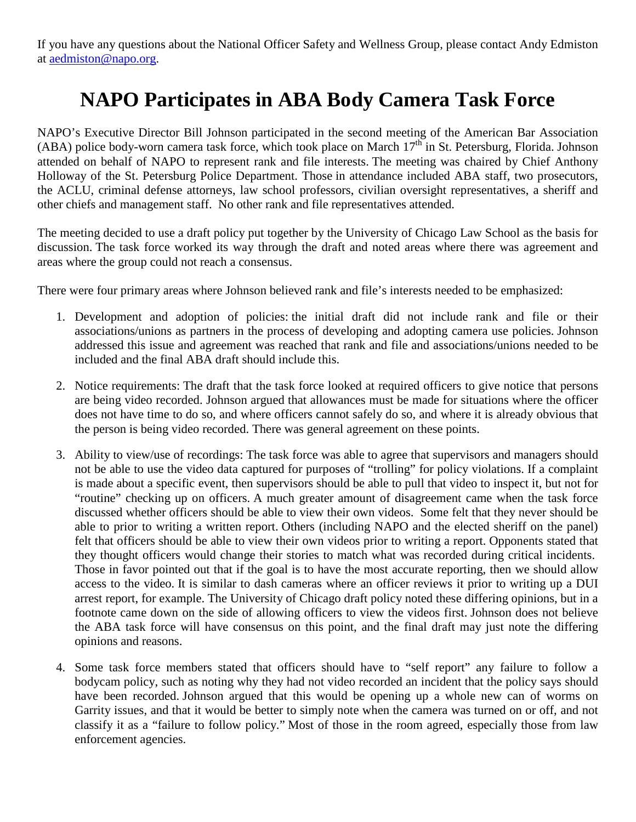If you have any questions about the National Officer Safety and Wellness Group, please contact Andy Edmiston at [aedmiston@napo.org.](mailto:aedmiston@napo.org)

## **NAPO Participates in ABA Body Camera Task Force**

NAPO's Executive Director Bill Johnson participated in the second meeting of the American Bar Association (ABA) police body-worn camera task force, which took place on March  $17<sup>th</sup>$  in St. Petersburg, Florida. Johnson attended on behalf of NAPO to represent rank and file interests. The meeting was chaired by Chief Anthony Holloway of the St. Petersburg Police Department. Those in attendance included ABA staff, two prosecutors, the ACLU, criminal defense attorneys, law school professors, civilian oversight representatives, a sheriff and other chiefs and management staff. No other rank and file representatives attended.

The meeting decided to use a draft policy put together by the University of Chicago Law School as the basis for discussion. The task force worked its way through the draft and noted areas where there was agreement and areas where the group could not reach a consensus.

There were four primary areas where Johnson believed rank and file's interests needed to be emphasized:

- 1. Development and adoption of policies: the initial draft did not include rank and file or their associations/unions as partners in the process of developing and adopting camera use policies. Johnson addressed this issue and agreement was reached that rank and file and associations/unions needed to be included and the final ABA draft should include this.
- 2. Notice requirements: The draft that the task force looked at required officers to give notice that persons are being video recorded. Johnson argued that allowances must be made for situations where the officer does not have time to do so, and where officers cannot safely do so, and where it is already obvious that the person is being video recorded. There was general agreement on these points.
- 3. Ability to view/use of recordings: The task force was able to agree that supervisors and managers should not be able to use the video data captured for purposes of "trolling" for policy violations. If a complaint is made about a specific event, then supervisors should be able to pull that video to inspect it, but not for "routine" checking up on officers. A much greater amount of disagreement came when the task force discussed whether officers should be able to view their own videos. Some felt that they never should be able to prior to writing a written report. Others (including NAPO and the elected sheriff on the panel) felt that officers should be able to view their own videos prior to writing a report. Opponents stated that they thought officers would change their stories to match what was recorded during critical incidents. Those in favor pointed out that if the goal is to have the most accurate reporting, then we should allow access to the video. It is similar to dash cameras where an officer reviews it prior to writing up a DUI arrest report, for example. The University of Chicago draft policy noted these differing opinions, but in a footnote came down on the side of allowing officers to view the videos first. Johnson does not believe the ABA task force will have consensus on this point, and the final draft may just note the differing opinions and reasons.
- 4. Some task force members stated that officers should have to "self report" any failure to follow a bodycam policy, such as noting why they had not video recorded an incident that the policy says should have been recorded. Johnson argued that this would be opening up a whole new can of worms on Garrity issues, and that it would be better to simply note when the camera was turned on or off, and not classify it as a "failure to follow policy." Most of those in the room agreed, especially those from law enforcement agencies.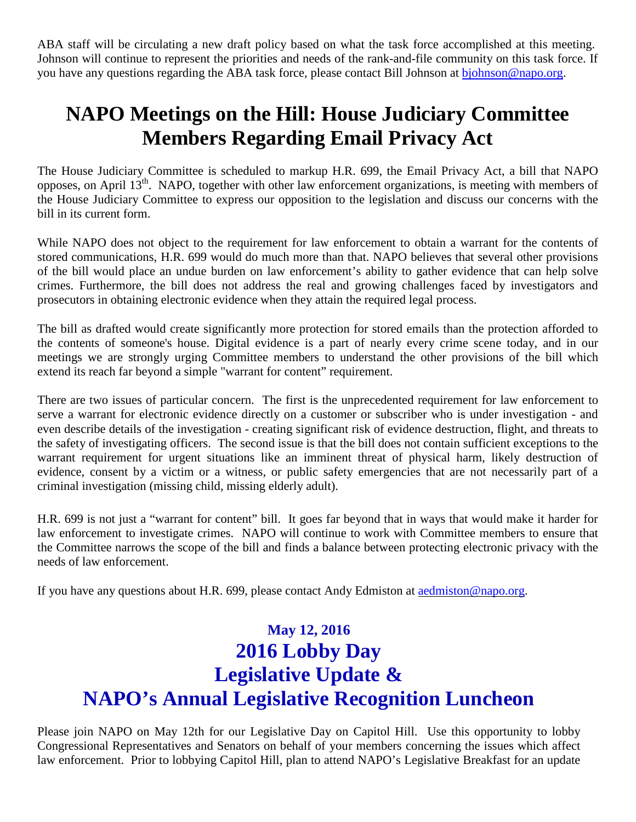ABA staff will be circulating a new draft policy based on what the task force accomplished at this meeting. Johnson will continue to represent the priorities and needs of the rank-and-file community on this task force. If you have any questions regarding the ABA task force, please contact Bill Johnson at [bjohnson@napo.org.](mailto:bjohnson@napo.org)

## **NAPO Meetings on the Hill: House Judiciary Committee Members Regarding Email Privacy Act**

The House Judiciary Committee is scheduled to markup H.R. 699, the Email Privacy Act, a bill that NAPO opposes, on April  $13<sup>th</sup>$ . NAPO, together with other law enforcement organizations, is meeting with members of the House Judiciary Committee to express our opposition to the legislation and discuss our concerns with the bill in its current form.

While NAPO does not object to the requirement for law enforcement to obtain a warrant for the contents of stored communications, H.R. 699 would do much more than that. NAPO believes that several other provisions of the bill would place an undue burden on law enforcement's ability to gather evidence that can help solve crimes. Furthermore, the bill does not address the real and growing challenges faced by investigators and prosecutors in obtaining electronic evidence when they attain the required legal process.

The bill as drafted would create significantly more protection for stored emails than the protection afforded to the contents of someone's house. Digital evidence is a part of nearly every crime scene today, and in our meetings we are strongly urging Committee members to understand the other provisions of the bill which extend its reach far beyond a simple "warrant for content" requirement.

There are two issues of particular concern. The first is the unprecedented requirement for law enforcement to serve a warrant for electronic evidence directly on a customer or subscriber who is under investigation - and even describe details of the investigation - creating significant risk of evidence destruction, flight, and threats to the safety of investigating officers. The second issue is that the bill does not contain sufficient exceptions to the warrant requirement for urgent situations like an imminent threat of physical harm, likely destruction of evidence, consent by a victim or a witness, or public safety emergencies that are not necessarily part of a criminal investigation (missing child, missing elderly adult).

H.R. 699 is not just a "warrant for content" bill. It goes far beyond that in ways that would make it harder for law enforcement to investigate crimes. NAPO will continue to work with Committee members to ensure that the Committee narrows the scope of the bill and finds a balance between protecting electronic privacy with the needs of law enforcement.

If you have any questions about H.R. 699, please contact Andy Edmiston at **aedmiston@napo.org**.

#### **May 12, 2016 2016 Lobby Day Legislative Update & NAPO's Annual Legislative Recognition Luncheon**

Please join NAPO on May 12th for our Legislative Day on Capitol Hill. Use this opportunity to lobby Congressional Representatives and Senators on behalf of your members concerning the issues which affect law enforcement. Prior to lobbying Capitol Hill, plan to attend NAPO's Legislative Breakfast for an update